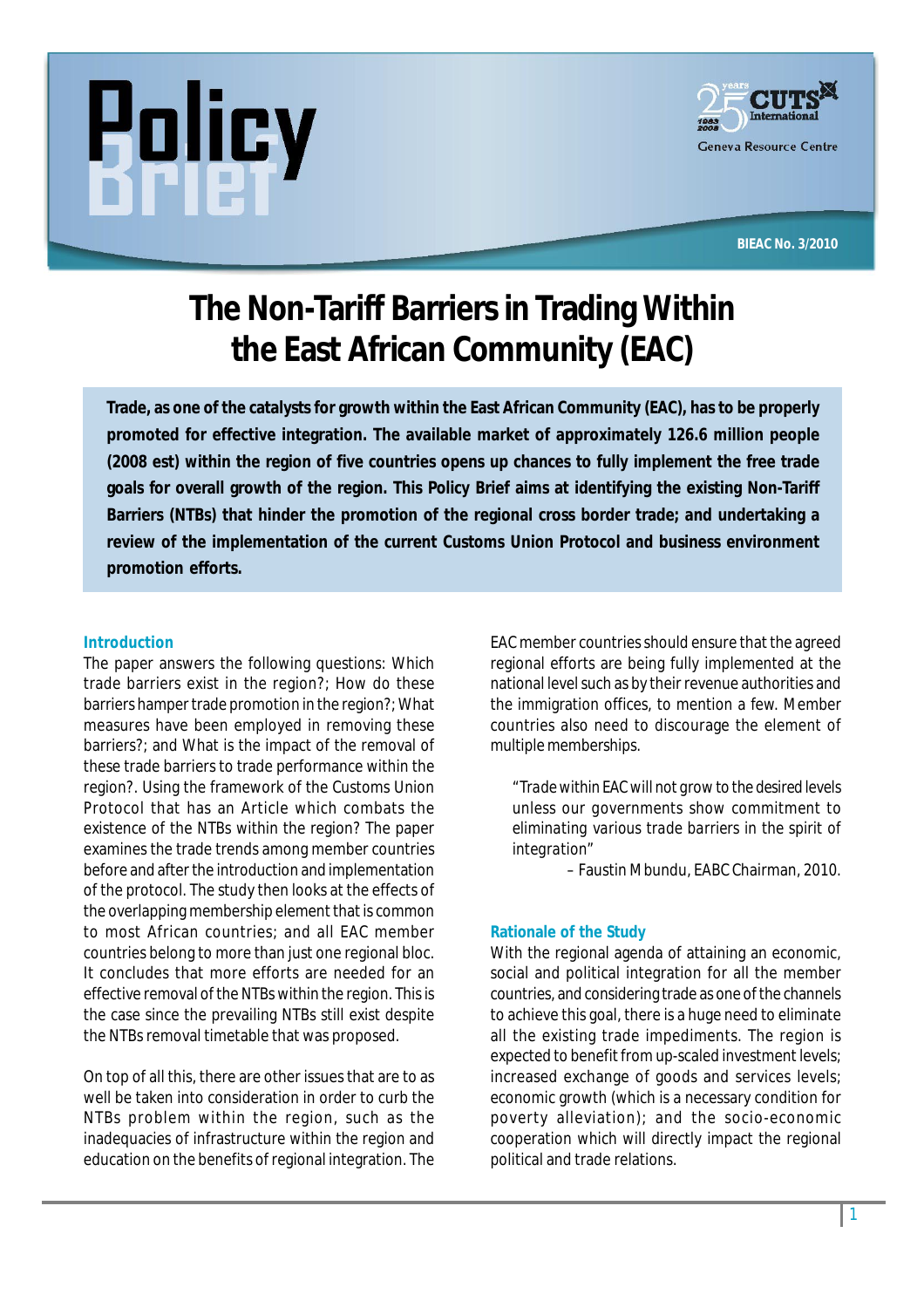



**BIEAC No. 3/2010**

# **The Non-Tariff Barriers in Trading Within the East African Community (EAC)**

**Trade, as one of the catalysts for growth within the East African Community (EAC), has to be properly promoted for effective integration. The available market of approximately 126.6 million people (2008 est) within the region of five countries opens up chances to fully implement the free trade goals for overall growth of the region. This Policy Brief aims at identifying the existing Non-Tariff Barriers (NTBs) that hinder the promotion of the regional cross border trade; and undertaking a review of the implementation of the current Customs Union Protocol and business environment promotion efforts.**

#### **Introduction**

The paper answers the following questions: Which trade barriers exist in the region?; How do these barriers hamper trade promotion in the region?; What measures have been employed in removing these barriers?; and What is the impact of the removal of these trade barriers to trade performance within the region?. Using the framework of the Customs Union Protocol that has an Article which combats the existence of the NTBs within the region? The paper examines the trade trends among member countries before and after the introduction and implementation of the protocol. The study then looks at the effects of the overlapping membership element that is common to most African countries; and all EAC member countries belong to more than just one regional bloc. It concludes that more efforts are needed for an effective removal of the NTBs within the region. This is the case since the prevailing NTBs still exist despite the NTBs removal timetable that was proposed.

On top of all this, there are other issues that are to as well be taken into consideration in order to curb the NTBs problem within the region, such as the inadequacies of infrastructure within the region and education on the benefits of regional integration. The

EAC member countries should ensure that the agreed regional efforts are being fully implemented at the national level such as by their revenue authorities and the immigration offices, to mention a few. Member countries also need to discourage the element of multiple memberships.

*"Trade within EAC will not grow to the desired levels unless our governments show commitment to eliminating various trade barriers in the spirit of integration"*

*–* Faustin Mbundu, EABC Chairman, 2010.

## **Rationale of the Study**

With the regional agenda of attaining an economic, social and political integration for all the member countries, and considering trade as one of the channels to achieve this goal, there is a huge need to eliminate all the existing trade impediments. The region is expected to benefit from up-scaled investment levels; increased exchange of goods and services levels; economic growth (which is a necessary condition for poverty alleviation); and the socio-economic cooperation which will directly impact the regional political and trade relations.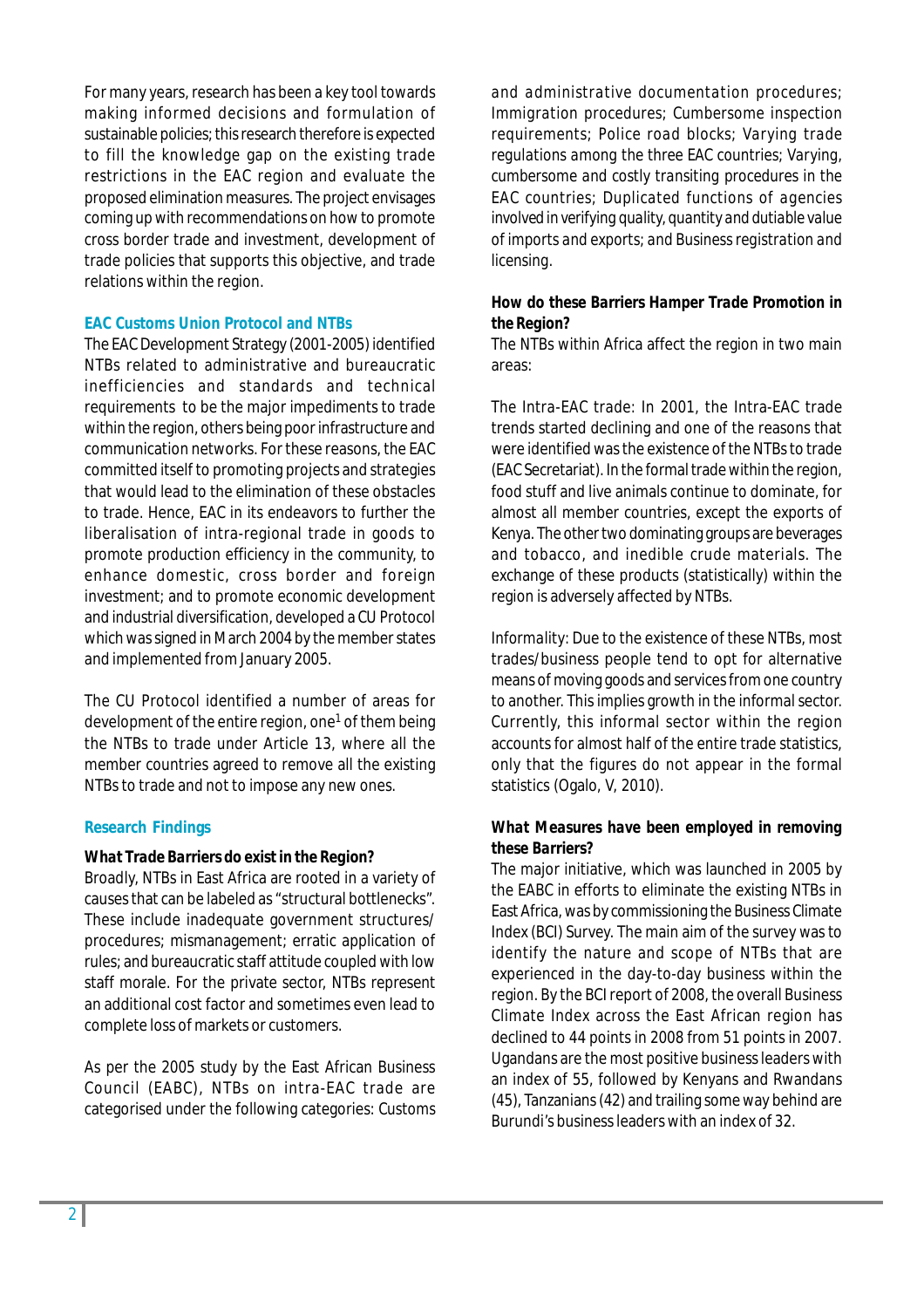For many years, research has been a key tool towards making informed decisions and formulation of sustainable policies; this research therefore is expected to fill the knowledge gap on the existing trade restrictions in the EAC region and evaluate the proposed elimination measures. The project envisages coming up with recommendations on how to promote cross border trade and investment, development of trade policies that supports this objective, and trade relations within the region.

## **EAC Customs Union Protocol and NTBs**

The EAC Development Strategy (2001-2005) identified NTBs related to administrative and bureaucratic inefficiencies and standards and technical requirements to be the major impediments to trade within the region, others being poor infrastructure and communication networks. For these reasons, the EAC committed itself to promoting projects and strategies that would lead to the elimination of these obstacles to trade. Hence, EAC in its endeavors to further the liberalisation of intra-regional trade in goods to promote production efficiency in the community, to enhance domestic, cross border and foreign investment; and to promote economic development and industrial diversification, developed a CU Protocol which was signed in March 2004 by the member states and implemented from January 2005.

The CU Protocol identified a number of areas for development of the entire region, one<sup>1</sup> of them being the NTBs to trade under Article 13, where all the member countries agreed to remove all the existing NTBs to trade and not to impose any new ones.

#### **Research Findings**

#### *What Trade Barriers do exist in the Region?*

Broadly, NTBs in East Africa are rooted in a variety of causes that can be labeled as "structural bottlenecks". These include inadequate government structures/ procedures; mismanagement; erratic application of rules; and bureaucratic staff attitude coupled with low staff morale. For the private sector, NTBs represent an additional cost factor and sometimes even lead to complete loss of markets or customers.

As per the 2005 study by the East African Business Council (EABC), NTBs on intra-EAC trade are categorised under the following categories: *Customs*

*and administrative documentation procedures; Immigration procedures; Cumbersome inspection requirements; Police road blocks; Varying trade regulations among the three EAC countries; Varying, cumbersome and costly transiting procedures in the EAC countries; Duplicated functions of agencies involved in verifying quality, quantity and dutiable value of imports and exports; and Business registration and licensing.*

## *How do these Barriers Hamper Trade Promotion in the Region?*

The NTBs within Africa affect the region in two main areas:

*The Intra-EAC trade:* In 2001, the Intra-EAC trade trends started declining and one of the reasons that were identified was the existence of the NTBs to trade (EAC Secretariat). In the formal trade within the region, food stuff and live animals continue to dominate, for almost all member countries, except the exports of Kenya. The other two dominating groups are beverages and tobacco, and inedible crude materials. The exchange of these products (statistically) within the region is adversely affected by NTBs.

*Informality:* Due to the existence of these NTBs, most trades/business people tend to opt for alternative means of moving goods and services from one country to another. This implies growth in the informal sector. Currently, this informal sector within the region accounts for almost half of the entire trade statistics, only that the figures do not appear in the formal statistics (Ogalo, V, 2010).

## *What Measures have been employed in removing these Barriers?*

The major initiative, which was launched in 2005 by the EABC in efforts to eliminate the existing NTBs in East Africa, was by commissioning the Business Climate Index (BCI) Survey. The main aim of the survey was to identify the nature and scope of NTBs that are experienced in the day-to-day business within the region. By the BCI report of 2008, the overall Business Climate Index across the East African region has declined to 44 points in 2008 from 51 points in 2007. Ugandans are the most positive business leaders with an index of 55, followed by Kenyans and Rwandans (45), Tanzanians (42) and trailing some way behind are Burundi's business leaders with an index of 32.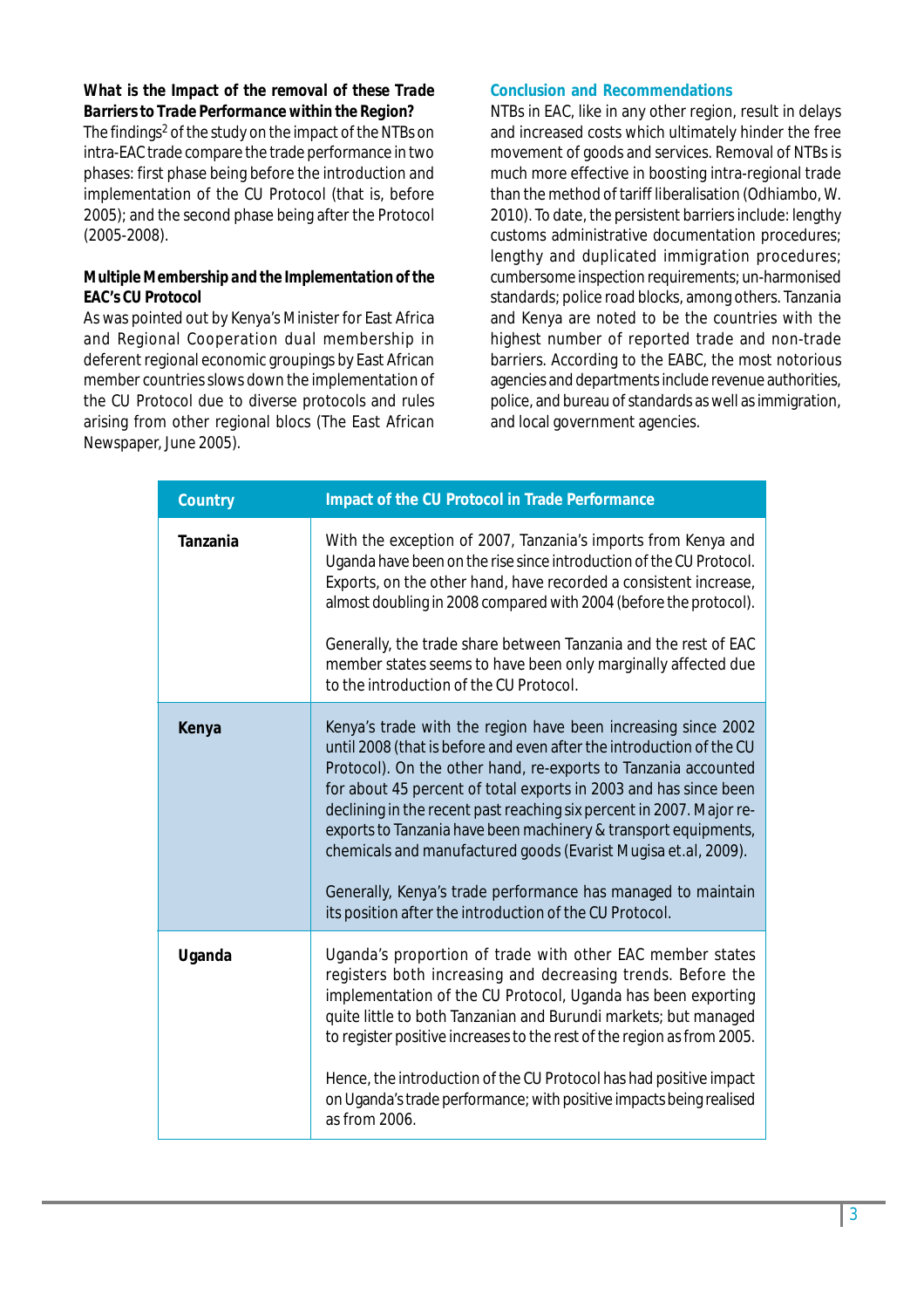## *What is the Impact of the removal of these Trade Barriers to Trade Performance within the Region?*

The findings<sup>2</sup> of the study on the impact of the NTBs on intra-EAC trade compare the trade performance in two phases: first phase being before the introduction and implementation of the CU Protocol (that is, before 2005); and the second phase being after the Protocol (2005-2008).

## *Multiple Membership and the Implementation of the EAC's CU Protocol*

As was pointed out by Kenya's Minister for East Africa and Regional Cooperation dual membership in deferent regional economic groupings by East African member countries slows down the implementation of the CU Protocol due to diverse protocols and rules arising from other regional blocs (*The East African* Newspaper, June 2005).

#### **Conclusion and Recommendations**

NTBs in EAC, like in any other region, result in delays and increased costs which ultimately hinder the free movement of goods and services. Removal of NTBs is much more effective in boosting intra-regional trade than the method of tariff liberalisation (Odhiambo, W. 2010). To date, the persistent barriers include: lengthy customs administrative documentation procedures; lengthy and duplicated immigration procedures; cumbersome inspection requirements; un-harmonised standards; police road blocks, among others. Tanzania and Kenya are noted to be the countries with the highest number of reported trade and non-trade barriers. According to the EABC, the most notorious agencies and departments include revenue authorities, police, and bureau of standards as well as immigration, and local government agencies.

| <b>Country</b>  | Impact of the CU Protocol in Trade Performance                                                                                                                                                                                                                                                                                                                                                                                                                                                                                                                                                                      |
|-----------------|---------------------------------------------------------------------------------------------------------------------------------------------------------------------------------------------------------------------------------------------------------------------------------------------------------------------------------------------------------------------------------------------------------------------------------------------------------------------------------------------------------------------------------------------------------------------------------------------------------------------|
| <b>Tanzania</b> | With the exception of 2007, Tanzania's imports from Kenya and<br>Uganda have been on the rise since introduction of the CU Protocol.<br>Exports, on the other hand, have recorded a consistent increase,<br>almost doubling in 2008 compared with 2004 (before the protocol).<br>Generally, the trade share between Tanzania and the rest of EAC<br>member states seems to have been only marginally affected due<br>to the introduction of the CU Protocol.                                                                                                                                                        |
| Kenya           | Kenya's trade with the region have been increasing since 2002<br>until 2008 (that is before and even after the introduction of the CU<br>Protocol). On the other hand, re-exports to Tanzania accounted<br>for about 45 percent of total exports in 2003 and has since been<br>declining in the recent past reaching six percent in 2007. Major re-<br>exports to Tanzania have been machinery & transport equipments,<br>chemicals and manufactured goods (Evarist Mugisa et.al, 2009).<br>Generally, Kenya's trade performance has managed to maintain<br>its position after the introduction of the CU Protocol. |
| Uganda          | Uganda's proportion of trade with other EAC member states<br>registers both increasing and decreasing trends. Before the<br>implementation of the CU Protocol, Uganda has been exporting<br>quite little to both Tanzanian and Burundi markets; but managed<br>to register positive increases to the rest of the region as from 2005.<br>Hence, the introduction of the CU Protocol has had positive impact<br>on Uganda's trade performance; with positive impacts being realised<br>as from 2006.                                                                                                                 |